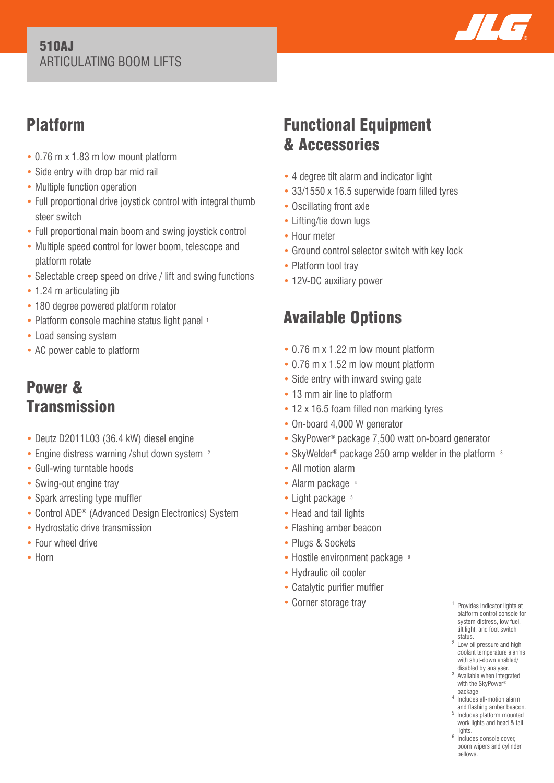#### 510AJ ARTICULATING BOOM LIFTS



## Platform

- 0.76 m x 1.83 m low mount platform
- Side entry with drop bar mid rail
- Multiple function operation
- Full proportional drive joystick control with integral thumb steer switch
- Full proportional main boom and swing joystick control
- Multiple speed control for lower boom, telescope and platform rotate
- Selectable creep speed on drive / lift and swing functions
- 1.24 m articulating jib
- 180 degree powered platform rotator
- Platform console machine status light panel 1
- Load sensing system
- AC power cable to platform

## Power & **Transmission**

- Deutz D2011L03 (36.4 kW) diesel engine
- Engine distress warning /shut down system <sup>2</sup>
- Gull-wing turntable hoods
- Swing-out engine tray
- Spark arresting type muffler
- Control ADE® (Advanced Design Electronics) System
- Hydrostatic drive transmission
- Four wheel drive
- Horn

## Functional Equipment & Accessories

- 4 degree tilt alarm and indicator light
- 33/1550 x 16.5 superwide foam filled tyres
- Oscillating front axle
- Lifting/tie down lugs
- Hour meter
- Ground control selector switch with key lock
- Platform tool tray
- 12V-DC auxiliary power

# Available Options

- 0.76 m x 1.22 m low mount platform
- 0.76 m x 1.52 m low mount platform
- Side entry with inward swing gate
- 13 mm air line to platform
- 12 x 16.5 foam filled non marking tyres
- On-board 4,000 W generator
- SkyPower<sup>®</sup> package 7,500 watt on-board generator
- SkyWelder<sup>®</sup> package 250 amp welder in the platform <sup>3</sup>
- All motion alarm
- Alarm package 4
- $\bullet$  Light package  $5$
- Head and tail lights
- Flashing amber beacon
- Plugs & Sockets
- Hostile environment package <sup>6</sup>
- Hydraulic oil cooler
- Catalytic purifier muffler
- Corner storage tray
- <sup>1</sup> Provides indicator lights at platform control console for system distress, low fuel, tilt light, and foot switch status.
- 2 Low oil pressure and high coolant temperature alarms with shut-down enabled/<br>disabled by analyser.
- disabled by analyser. 3 Available when integrated with the SkyPower®
- package
- 4 Includes all-motion alarm and flashing amber beacon.
- 5 Includes platform mounted work lights and head & tail lights.
- <sup>6</sup> Includes console cover, boom wipers and cylinder bellows.